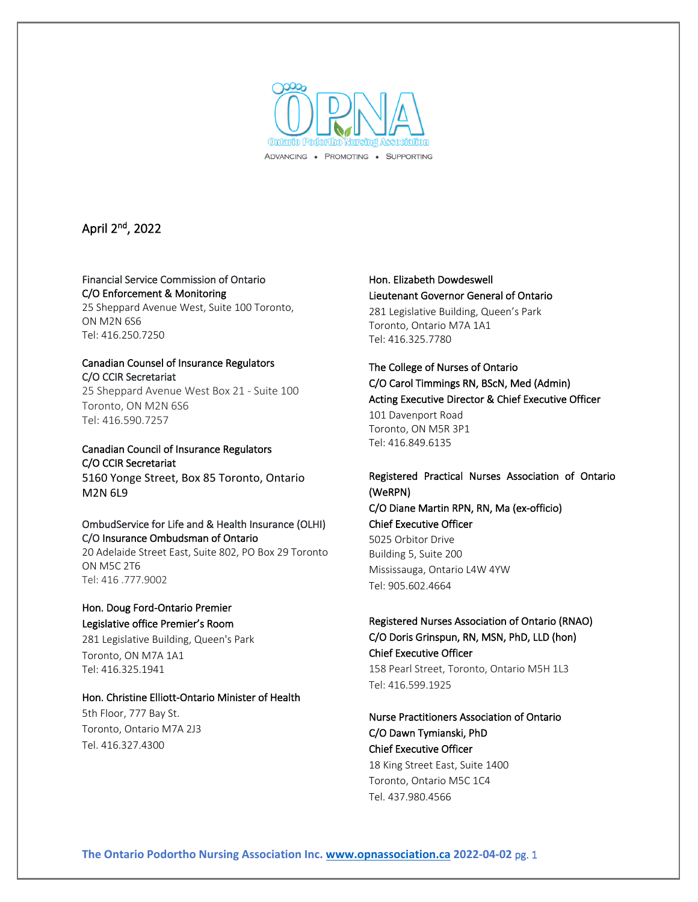

# April 2nd, 2022

#### Financial Service Commission of Ontario C/O Enforcement & Monitoring

25 Sheppard Avenue West, Suite 100 Toronto, ON M2N 6S6 Tel: 416.250.7250

#### Canadian Counsel of Insurance Regulators C/O CCIR Secretariat

25 Sheppard Avenue West Box 21 - Suite 100 Toronto, ON M2N 6S6 Tel: 416.590.7257

### Canadian Council of Insurance Regulators C/O CCIR Secretariat

5160 Yonge Street, Box 85 Toronto, Ontario M2N 6L9

#### OmbudService for Life and & Health Insurance (OLHI) C/O Insurance Ombudsman of Ontario

20 Adelaide Street East, Suite 802, PO Box 29 Toronto ON M5C 2T6 Tel: 416 .777.9002

### Hon. Doug Ford-Ontario Premier Legislative office Premier's Room

281 Legislative Building, Queen's Park Toronto, ON M7A 1A1 Tel: 416.325.1941

### Hon. Christine Elliott-Ontario Minister of Health

5th Floor, 777 Bay St. Toronto, Ontario M7A 2J3 Tel. 416.327.4300

## Hon. Elizabeth Dowdeswell Lieutenant Governor General of Ontario

281 Legislative Building, Queen's Park Toronto, Ontario M7A 1A1 Tel: 416.325.7780

# The College of Nurses of Ontario C/O Carol Timmings RN, BScN, Med (Admin) Acting Executive Director & Chief Executive Officer 101 Davenport Road Toronto, ON M5R 3P1 Tel: 416.849.6135

## Registered Practical Nurses Association of Ontario (WeRPN)

C/O Diane Martin RPN, RN, Ma (ex-officio) Chief Executive Officer

5025 Orbitor Drive Building 5, Suite 200 Mississauga, Ontario L4W 4YW Tel: 905.602.4664

## Registered Nurses Association of Ontario (RNAO) C/O Doris Grinspun, RN, MSN, PhD, LLD (hon) Chief Executive Officer

158 Pearl Street, Toronto, Ontario M5H 1L3 Tel: 416.599.1925

# Nurse Practitioners Association of Ontario C/O Dawn Tymianski, PhD Chief Executive Officer

18 King Street East, Suite 1400 Toronto, Ontario M5C 1C4 Tel. 437.980.4566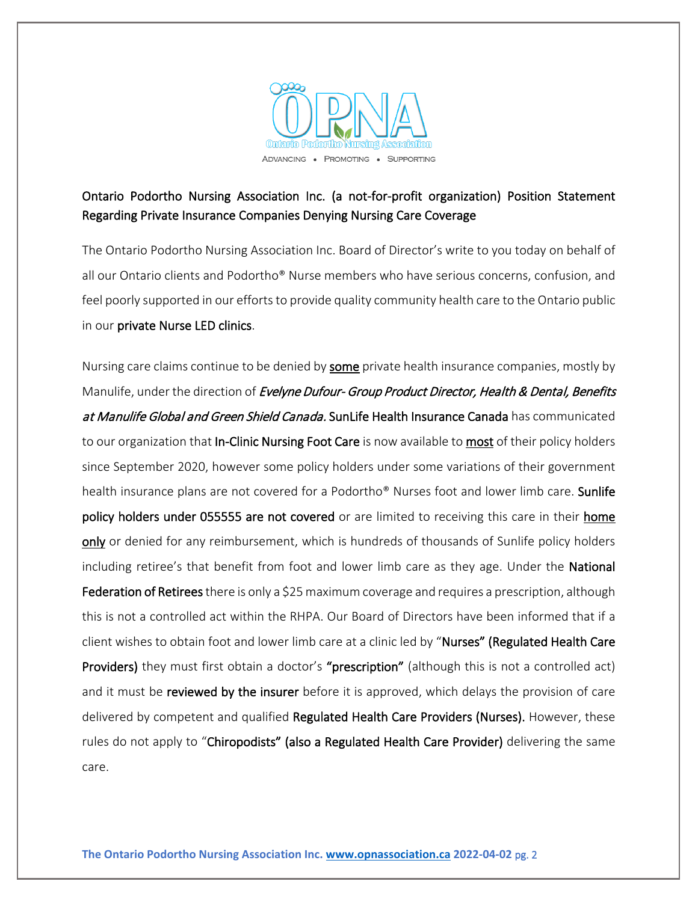

# Ontario Podortho Nursing Association Inc. (a not-for-profit organization) Position Statement Regarding Private Insurance Companies Denying Nursing Care Coverage

The Ontario Podortho Nursing Association Inc. Board of Director's write to you today on behalf of all our Ontario clients and Podortho® Nurse members who have serious concerns, confusion, and feel poorly supported in our efforts to provide quality community health care to the Ontario public in our private Nurse LED clinics.

Nursing care claims continue to be denied by some private health insurance companies, mostly by Manulife, under the direction of Evelyne Dufour- Group Product Director, Health & Dental, Benefits at Manulife Global and Green Shield Canada. SunLife Health Insurance Canada has communicated to our organization that **In-Clinic Nursing Foot Care** is now available to **most** of their policy holders since September 2020, however some policy holders under some variations of their government health insurance plans are not covered for a Podortho<sup>®</sup> Nurses foot and lower limb care. **Sunlife** policy holders under 055555 are not covered or are limited to receiving this care in their home only or denied for any reimbursement, which is hundreds of thousands of Sunlife policy holders including retiree's that benefit from foot and lower limb care as they age. Under the **National** Federation of Retirees there is only a \$25 maximum coverage and requires a prescription, although this is not a controlled act within the RHPA. Our Board of Directors have been informed that if a client wishes to obtain foot and lower limb care at a clinic led by "Nurses" (Regulated Health Care Providers) they must first obtain a doctor's "prescription" (although this is not a controlled act) and it must be **reviewed by the insurer** before it is approved, which delays the provision of care delivered by competent and qualified Regulated Health Care Providers (Nurses). However, these rules do not apply to "Chiropodists" (also a Regulated Health Care Provider) delivering the same care.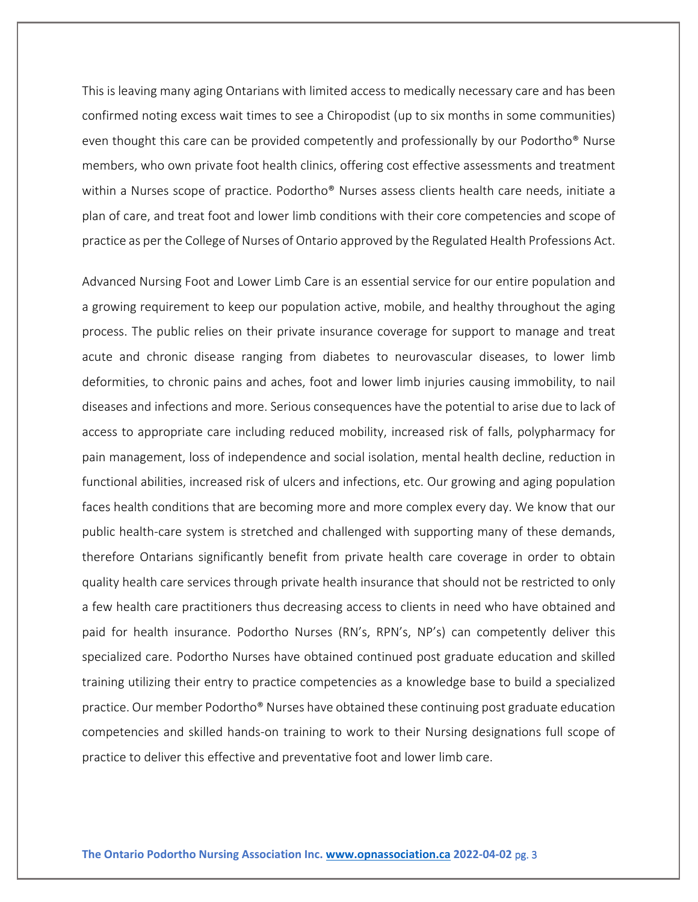This is leaving many aging Ontarians with limited access to medically necessary care and has been confirmed noting excess wait times to see a Chiropodist (up to six months in some communities) even thought this care can be provided competently and professionally by our Podortho® Nurse members, who own private foot health clinics, offering cost effective assessments and treatment within a Nurses scope of practice. Podortho® Nurses assess clients health care needs, initiate a plan of care, and treat foot and lower limb conditions with their core competencies and scope of practice as per the College of Nurses of Ontario approved by the Regulated Health Professions Act.

Advanced Nursing Foot and Lower Limb Care is an essential service for our entire population and a growing requirement to keep our population active, mobile, and healthy throughout the aging process. The public relies on their private insurance coverage for support to manage and treat acute and chronic disease ranging from diabetes to neurovascular diseases, to lower limb deformities, to chronic pains and aches, foot and lower limb injuries causing immobility, to nail diseases and infections and more. Serious consequences have the potential to arise due to lack of access to appropriate care including reduced mobility, increased risk of falls, polypharmacy for pain management, loss of independence and social isolation, mental health decline, reduction in functional abilities, increased risk of ulcers and infections, etc. Our growing and aging population faces health conditions that are becoming more and more complex every day. We know that our public health-care system is stretched and challenged with supporting many of these demands, therefore Ontarians significantly benefit from private health care coverage in order to obtain quality health care services through private health insurance that should not be restricted to only a few health care practitioners thus decreasing access to clients in need who have obtained and paid for health insurance. Podortho Nurses (RN's, RPN's, NP's) can competently deliver this specialized care. Podortho Nurses have obtained continued post graduate education and skilled training utilizing their entry to practice competencies as a knowledge base to build a specialized practice. Our member Podortho® Nurses have obtained these continuing post graduate education competencies and skilled hands-on training to work to their Nursing designations full scope of practice to deliver this effective and preventative foot and lower limb care.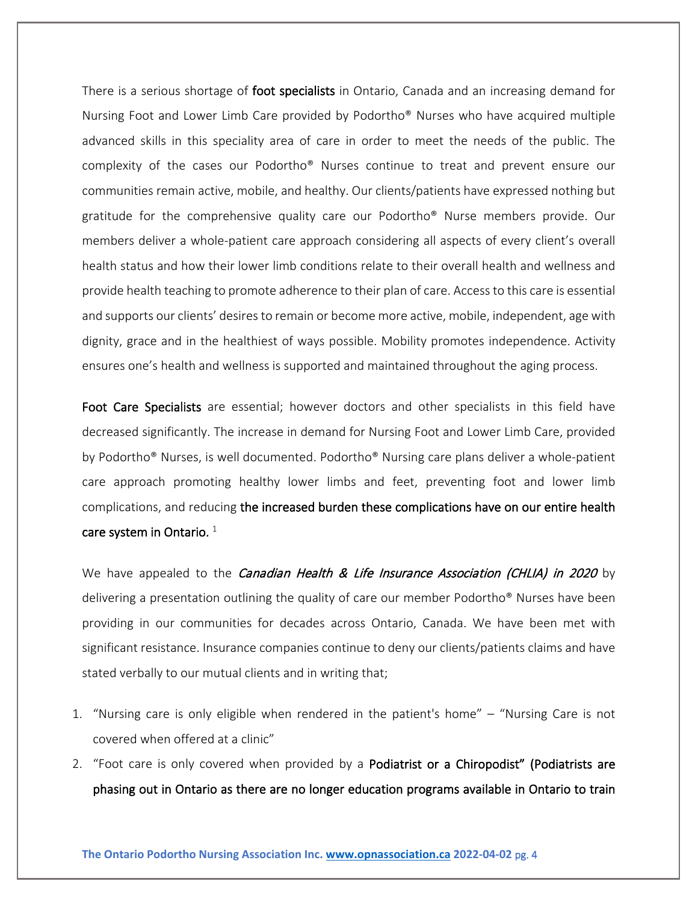There is a serious shortage of foot specialists in Ontario, Canada and an increasing demand for Nursing Foot and Lower Limb Care provided by Podortho® Nurses who have acquired multiple advanced skills in this speciality area of care in order to meet the needs of the public. The complexity of the cases our Podortho® Nurses continue to treat and prevent ensure our communities remain active, mobile, and healthy. Our clients/patients have expressed nothing but gratitude for the comprehensive quality care our Podortho® Nurse members provide. Our members deliver a whole-patient care approach considering all aspects of every client's overall health status and how their lower limb conditions relate to their overall health and wellness and provide health teaching to promote adherence to their plan of care. Access to this care is essential and supports our clients' desires to remain or become more active, mobile, independent, age with dignity, grace and in the healthiest of ways possible. Mobility promotes independence. Activity ensures one's health and wellness is supported and maintained throughout the aging process.

Foot Care Specialists are essential; however doctors and other specialists in this field have decreased significantly. The increase in demand for Nursing Foot and Lower Limb Care, provided by Podortho® Nurses, is well documented. Podortho® Nursing care plans deliver a whole-patient care approach promoting healthy lower limbs and feet, preventing foot and lower limb complications, and reducing the increased burden these complications have on our entire health care system in Ontario.  $1$ 

We have appealed to the *Canadian Health & Life Insurance Association (CHLIA) in 2020* by delivering a presentation outlining the quality of care our member Podortho® Nurses have been providing in our communities for decades across Ontario, Canada. We have been met with significant resistance. Insurance companies continue to deny our clients/patients claims and have stated verbally to our mutual clients and in writing that;

- 1. "Nursing care is only eligible when rendered in the patient's home" "Nursing Care is not covered when offered at a clinic"
- 2. "Foot care is only covered when provided by a Podiatrist or a Chiropodist" (Podiatrists are phasing out in Ontario as there are no longer education programs available in Ontario to train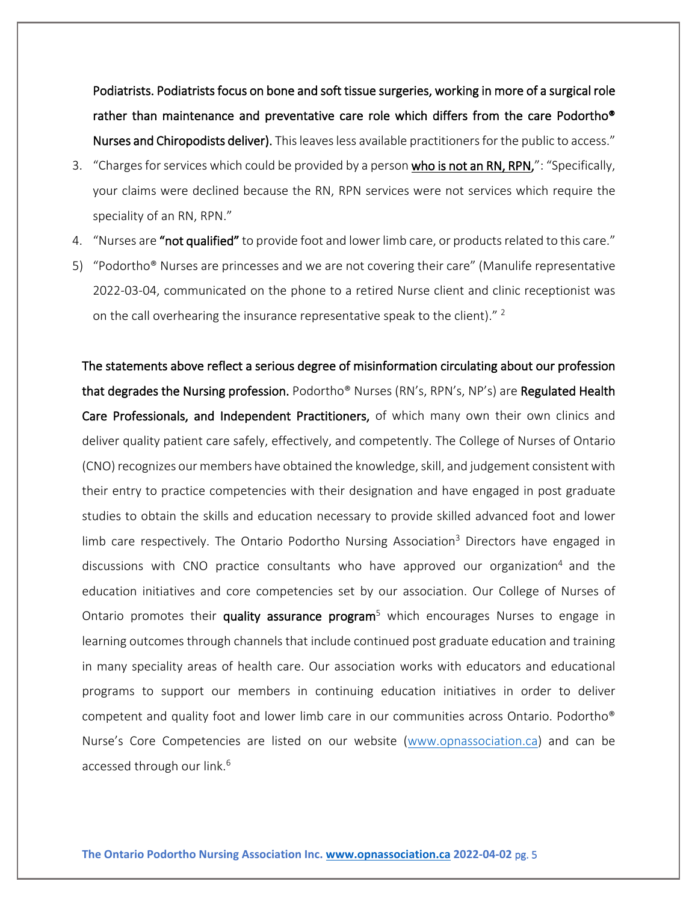Podiatrists. Podiatrists focus on bone and soft tissue surgeries, working in more of a surgical role rather than maintenance and preventative care role which differs from the care Podortho® Nurses and Chiropodists deliver). This leaves less available practitioners for the public to access."

- 3. "Charges for services which could be provided by a person who is not an RN, RPN,": "Specifically, your claims were declined because the RN, RPN services were not services which require the speciality of an RN, RPN."
- 4. "Nurses are "not qualified" to provide foot and lower limb care, or products related to this care."
- 5) "Podortho® Nurses are princesses and we are not covering their care" (Manulife representative 2022-03-04, communicated on the phone to a retired Nurse client and clinic receptionist was on the call overhearing the insurance representative speak to the client)."<sup>2</sup>

The statements above reflect a serious degree of misinformation circulating about our profession that degrades the Nursing profession. Podortho® Nurses (RN's, RPN's, NP's) are Regulated Health Care Professionals, and Independent Practitioners, of which many own their own clinics and deliver quality patient care safely, effectively, and competently. The College of Nurses of Ontario (CNO) recognizes our members have obtained the knowledge, skill, and judgement consistent with their entry to practice competencies with their designation and have engaged in post graduate studies to obtain the skills and education necessary to provide skilled advanced foot and lower limb care respectively. The Ontario Podortho Nursing Association<sup>3</sup> Directors have engaged in discussions with CNO practice consultants who have approved our organization<sup>4</sup> and the education initiatives and core competencies set by our association. Our College of Nurses of Ontario promotes their quality assurance program<sup>5</sup> which encourages Nurses to engage in learning outcomes through channels that include continued post graduate education and training in many speciality areas of health care. Our association works with educators and educational programs to support our members in continuing education initiatives in order to deliver competent and quality foot and lower limb care in our communities across Ontario. Podortho® Nurse's Core Competencies are listed on our website [\(www.opnassociation.ca\)](http://www.opnassociation.ca/) and can be accessed through our link. 6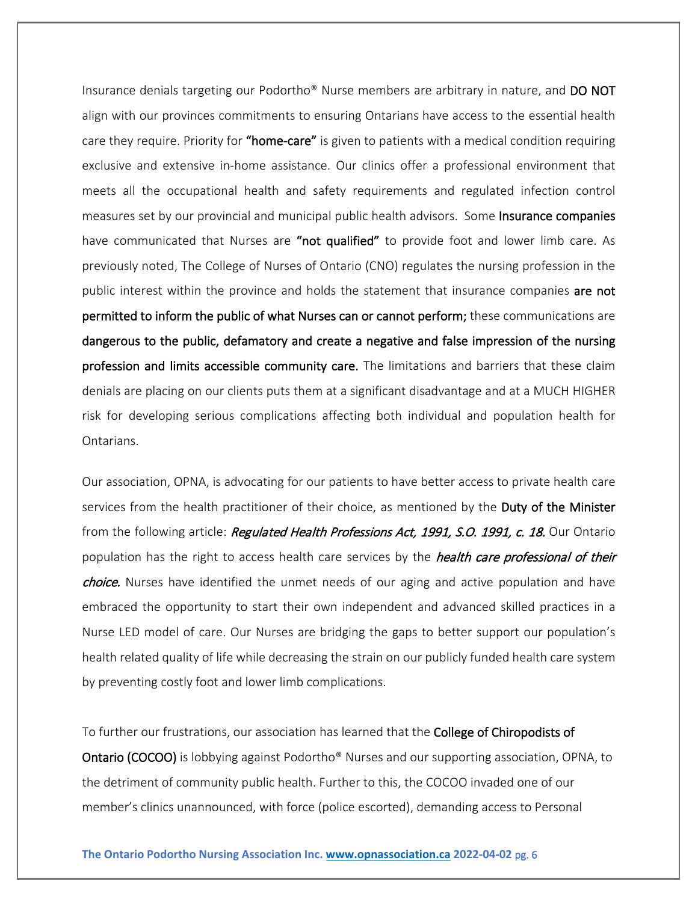Insurance denials targeting our Podortho® Nurse members are arbitrary in nature, and DO NOT align with our provinces commitments to ensuring Ontarians have access to the essential health care they require. Priority for "home-care" is given to patients with a medical condition requiring exclusive and extensive in-home assistance. Our clinics offer a professional environment that meets all the occupational health and safety requirements and regulated infection control measures set by our provincial and municipal public health advisors. Some **Insurance companies** have communicated that Nurses are "not qualified" to provide foot and lower limb care. As previously noted, The College of Nurses of Ontario (CNO) regulates the nursing profession in the public interest within the province and holds the statement that insurance companies are not permitted to inform the public of what Nurses can or cannot perform; these communications are dangerous to the public, defamatory and create a negative and false impression of the nursing profession and limits accessible community care. The limitations and barriers that these claim denials are placing on our clients puts them at a significant disadvantage and at a MUCH HIGHER risk for developing serious complications affecting both individual and population health for Ontarians.

Our association, OPNA, is advocating for our patients to have better access to private health care services from the health practitioner of their choice, as mentioned by the Duty of the Minister from the following article: Regulated Health Professions Act, 1991, S.O. 1991, c. 18. Our Ontario population has the right to access health care services by the *health care professional of their* choice. Nurses have identified the unmet needs of our aging and active population and have embraced the opportunity to start their own independent and advanced skilled practices in a Nurse LED model of care. Our Nurses are bridging the gaps to better support our population's health related quality of life while decreasing the strain on our publicly funded health care system by preventing costly foot and lower limb complications.

To further our frustrations, our association has learned that the College of Chiropodists of Ontario (COCOO) is lobbying against Podortho® Nurses and our supporting association, OPNA, to the detriment of community public health. Further to this, the COCOO invaded one of our member's clinics unannounced, with force (police escorted), demanding access to Personal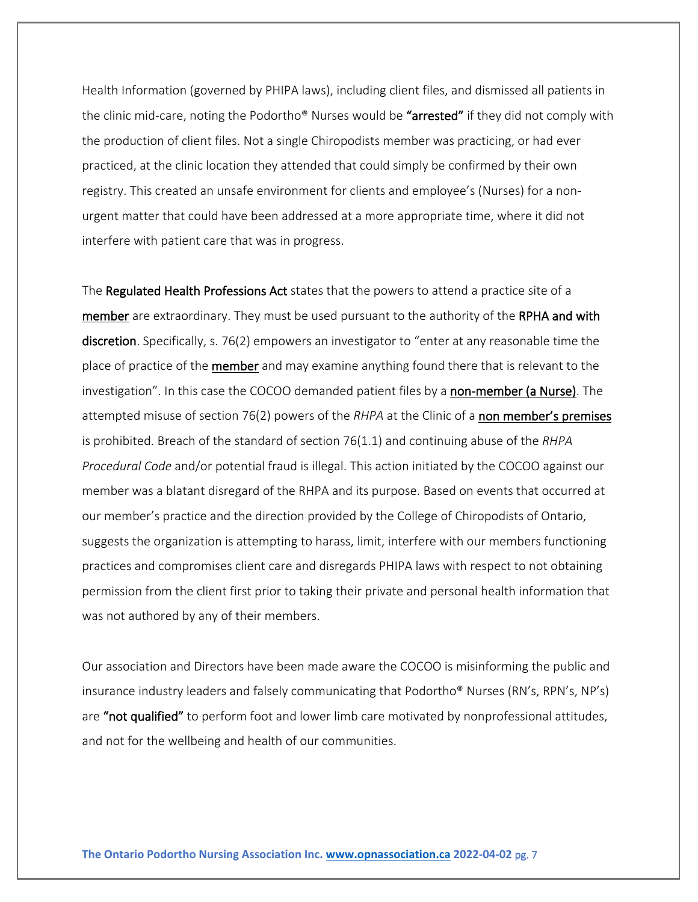Health Information (governed by PHIPA laws), including client files, and dismissed all patients in the clinic mid-care, noting the Podortho® Nurses would be "arrested" if they did not comply with the production of client files. Not a single Chiropodists member was practicing, or had ever practiced, at the clinic location they attended that could simply be confirmed by their own registry. This created an unsafe environment for clients and employee's (Nurses) for a nonurgent matter that could have been addressed at a more appropriate time, where it did not interfere with patient care that was in progress.

The Regulated Health Professions Act states that the powers to attend a practice site of a member are extraordinary. They must be used pursuant to the authority of the RPHA and with discretion. Specifically, s. 76(2) empowers an investigator to "enter at any reasonable time the place of practice of the **member** and may examine anything found there that is relevant to the investigation". In this case the COCOO demanded patient files by a non-member (a Nurse). The attempted misuse of section 76(2) powers of the *RHPA* at the Clinic of a non member's premises is prohibited. Breach of the standard of section 76(1.1) and continuing abuse of the *RHPA Procedural Code* and/or potential fraud is illegal. This action initiated by the COCOO against our member was a blatant disregard of the RHPA and its purpose. Based on events that occurred at our member's practice and the direction provided by the College of Chiropodists of Ontario, suggests the organization is attempting to harass, limit, interfere with our members functioning practices and compromises client care and disregards PHIPA laws with respect to not obtaining permission from the client first prior to taking their private and personal health information that was not authored by any of their members.

Our association and Directors have been made aware the COCOO is misinforming the public and insurance industry leaders and falsely communicating that Podortho® Nurses (RN's, RPN's, NP's) are "not qualified" to perform foot and lower limb care motivated by nonprofessional attitudes, and not for the wellbeing and health of our communities.

**The Ontario Podortho Nursing Association Inc. [www.opnassociation.ca](http://www.opnassociation.ca/) 2022-04-02** pg. 7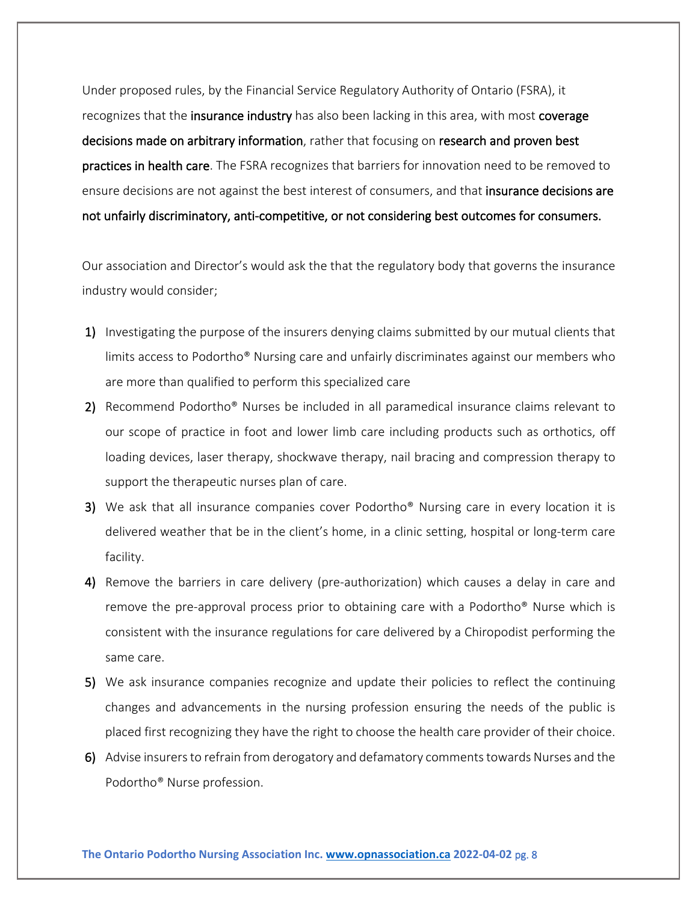Under proposed rules, by the Financial Service Regulatory Authority of Ontario (FSRA), it recognizes that the insurance industry has also been lacking in this area, with most coverage decisions made on arbitrary information, rather that focusing on research and proven best practices in health care. The FSRA recognizes that barriers for innovation need to be removed to ensure decisions are not against the best interest of consumers, and that insurance decisions are not unfairly discriminatory, anti-competitive, or not considering best outcomes for consumers.

Our association and Director's would ask the that the regulatory body that governs the insurance industry would consider;

- 1) Investigating the purpose of the insurers denying claims submitted by our mutual clients that limits access to Podortho® Nursing care and unfairly discriminates against our members who are more than qualified to perform this specialized care
- 2) Recommend Podortho<sup>®</sup> Nurses be included in all paramedical insurance claims relevant to our scope of practice in foot and lower limb care including products such as orthotics, off loading devices, laser therapy, shockwave therapy, nail bracing and compression therapy to support the therapeutic nurses plan of care.
- 3) We ask that all insurance companies cover Podortho® Nursing care in every location it is delivered weather that be in the client's home, in a clinic setting, hospital or long-term care facility.
- 4) Remove the barriers in care delivery (pre-authorization) which causes a delay in care and remove the pre-approval process prior to obtaining care with a Podortho® Nurse which is consistent with the insurance regulations for care delivered by a Chiropodist performing the same care.
- 5) We ask insurance companies recognize and update their policies to reflect the continuing changes and advancements in the nursing profession ensuring the needs of the public is placed first recognizing they have the right to choose the health care provider of their choice.
- 6) Advise insurers to refrain from derogatory and defamatory comments towards Nurses and the Podortho® Nurse profession.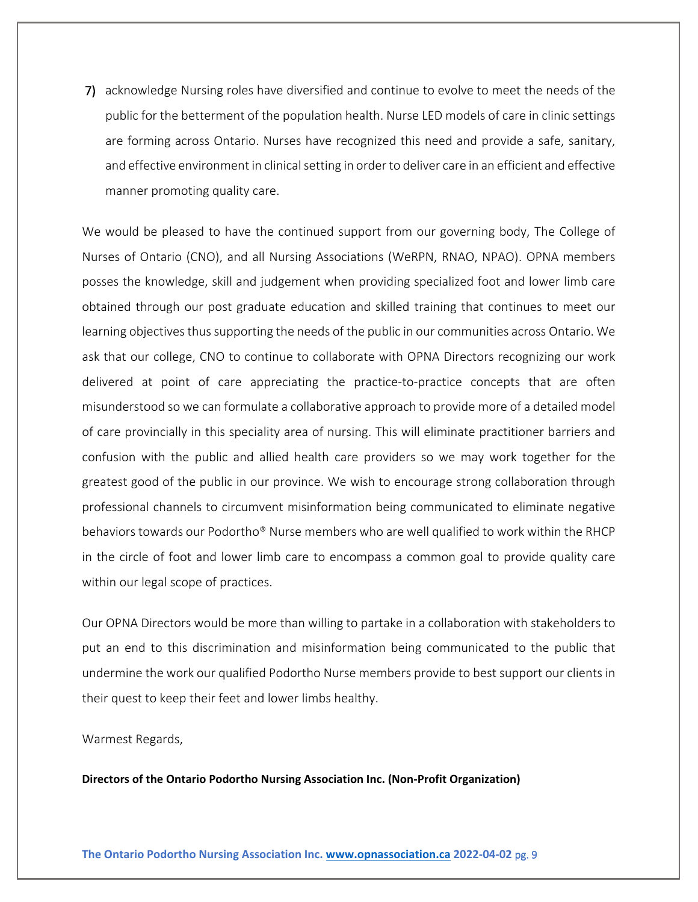7) acknowledge Nursing roles have diversified and continue to evolve to meet the needs of the public for the betterment of the population health. Nurse LED models of care in clinic settings are forming across Ontario. Nurses have recognized this need and provide a safe, sanitary, and effective environment in clinical setting in order to deliver care in an efficient and effective manner promoting quality care.

We would be pleased to have the continued support from our governing body, The College of Nurses of Ontario (CNO), and all Nursing Associations (WeRPN, RNAO, NPAO). OPNA members posses the knowledge, skill and judgement when providing specialized foot and lower limb care obtained through our post graduate education and skilled training that continues to meet our learning objectives thus supporting the needs of the public in our communities across Ontario. We ask that our college, CNO to continue to collaborate with OPNA Directors recognizing our work delivered at point of care appreciating the practice-to-practice concepts that are often misunderstood so we can formulate a collaborative approach to provide more of a detailed model of care provincially in this speciality area of nursing. This will eliminate practitioner barriers and confusion with the public and allied health care providers so we may work together for the greatest good of the public in our province. We wish to encourage strong collaboration through professional channels to circumvent misinformation being communicated to eliminate negative behaviors towards our Podortho® Nurse members who are well qualified to work within the RHCP in the circle of foot and lower limb care to encompass a common goal to provide quality care within our legal scope of practices.

Our OPNA Directors would be more than willing to partake in a collaboration with stakeholders to put an end to this discrimination and misinformation being communicated to the public that undermine the work our qualified Podortho Nurse members provide to best support our clients in their quest to keep their feet and lower limbs healthy.

Warmest Regards,

**Directors of the Ontario Podortho Nursing Association Inc. (Non-Profit Organization)**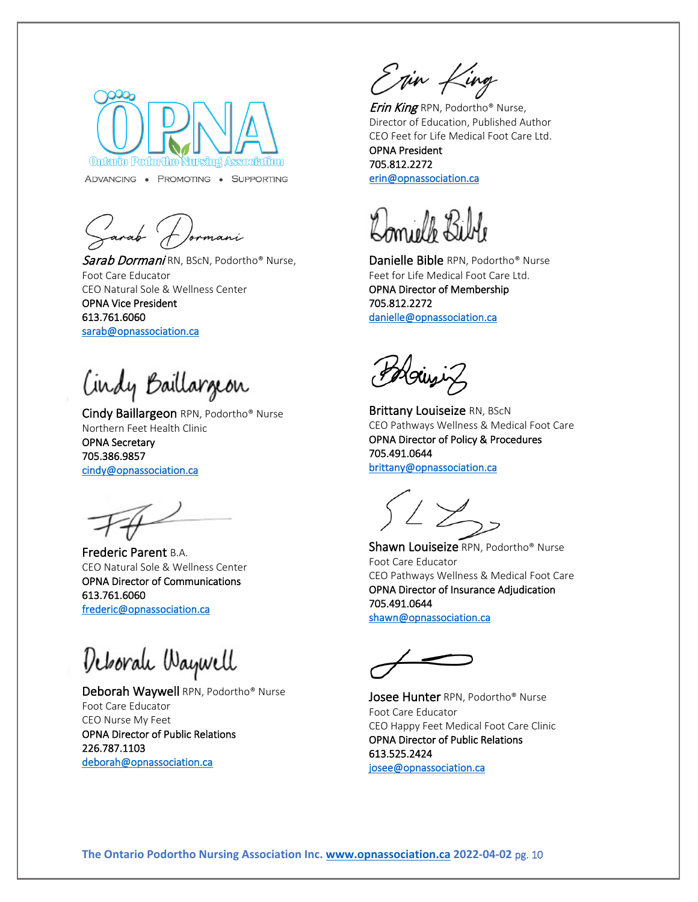

ADVANCING . PROMOTING . SUPPORTING

Jarab (1)

Sarab Dormani RN, BScN, Podortho® Nurse, Foot Care Educator CEO Natural Sole & Wellness Center OPNA Vice President 613.761.6060 [sarab@opnassociation.ca](mailto:sarab@opnassociation.ca) 

Cindy Baillargeon

Cindy Baillargeon RPN, Podortho® Nurse Northern Feet Health Clinic OPNA Secretary 705.386.9857 [cindy@opnassociation.ca](mailto:cindy@opnassociation.ca) 

Frederic Parent B.A. CEO Natural Sole & Wellness Center OPNA Director of Communications 613.761.6060 [frederic@opnassociation.ca](mailto:frederic@opnassociation.ca) 

Deborah Waywell

Deborah Waywell RPN, Podortho® Nurse Foot Care Educator CEO Nurse My Feet OPNA Director of Public Relations 226.787.1103 [deborah@opnassociation.ca](mailto:deborah@opnassociation.ca) 

Enin King

**Erin King** RPN, Podortho® Nurse, Director of Education, Published Author CEO Feet for Life Medical Foot Care Ltd.

OPNA President 705.812.2272 [erin@opnassociation.ca](mailto:erin@opnassociation.ca) 

l j

Danielle Bible RPN, Podortho® Nurse Feet for Life Medical Foot Care Ltd. OPNA Director of Membership 705.812.2272 [danielle@opnassociation.ca](mailto:danielle@opnassociation.ca) 

Hoinziz

**Brittany Louiseize RN, BScN** CEO Pathways Wellness & Medical Foot Care OPNA Director of Policy & Procedures 705.491.0644 [brittany@opnassociation.ca](mailto:brittany@opnassociation.ca) 

Shawn Louiseize RPN, Podortho® Nurse Foot Care Educator CEO Pathways Wellness & Medical Foot Care OPNA Director of Insurance Adjudication 705.491.0644 [shawn@opnassociation.ca](mailto:shawn@opnassociation.ca) 

Josee Hunter RPN, Podortho<sup>®</sup> Nurse Foot Care Educator CEO Happy Feet Medical Foot Care Clinic OPNA Director of Public Relations 613.525.2424 [josee@opnassociation.ca](mailto:josee@opnassociation.ca)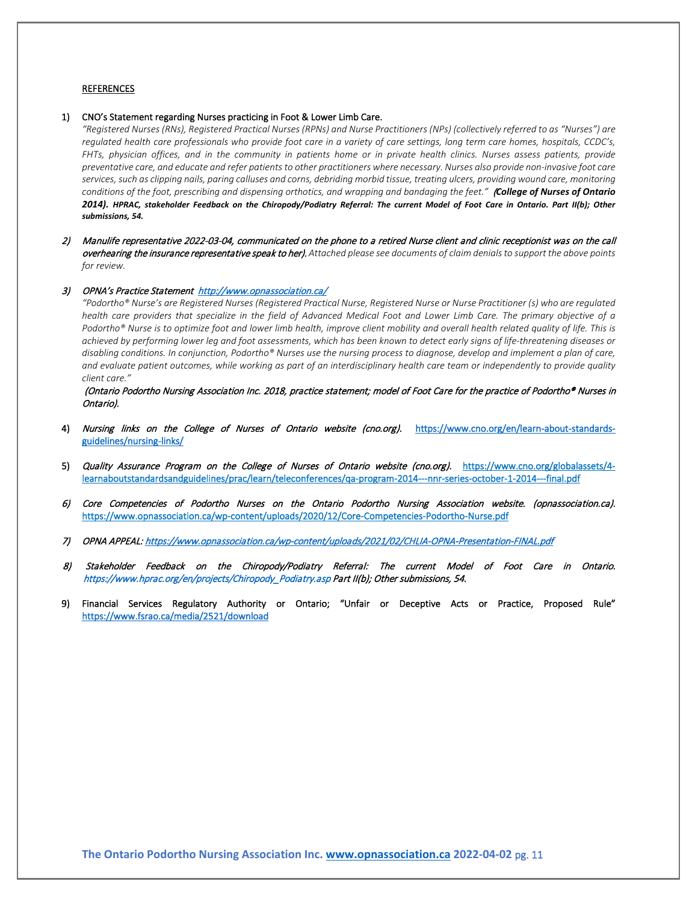#### **REFERENCES**

#### 1) CNO's Statement regarding Nurses practicing in Foot & Lower Limb Care.

*"Registered Nurses (RNs), Registered Practical Nurses (RPNs) and Nurse Practitioners (NPs) (collectively referred to as "Nurses") are regulated health care professionals who provide foot care in a variety of care settings, long term care homes, hospitals, CCDC's, FHTs, physician offices, and in the community in patients home or in private health clinics. Nurses assess patients, provide preventative care, and educate and refer patients to other practitioners where necessary. Nurses also provide non-invasive foot care services, such as clipping nails, paring calluses and corns, debriding morbid tissue, treating ulcers, providing wound care, monitoring conditions of the foot, prescribing and dispensing orthotics, and wrapping and bandaging the feet."* (*College of Nurses of Ontario 2014). HPRAC, stakeholder Feedback on the Chiropody/Podiatry Referral: The current Model of Foot Care in Ontario. Part II(b); Other submissions, 54.*

2) Manulife representative 2022-03-04, communicated on the phone to a retired Nurse client and clinic receptionist was on the call overhearing the insurance representative speak to her). *Attached please see documents of claim denials to support the above points for review.*

#### 3) OPNA's Practice Statement<http://www.opnassociation.ca/>

*"Podortho® Nurse's are Registered Nurses (Registered Practical Nurse, Registered Nurse or Nurse Practitioner (s) who are regulated health care providers that specialize in the field of Advanced Medical Foot and Lower Limb Care. The primary objective of a Podortho® Nurse is to optimize foot and lower limb health, improve client mobility and overall health related quality of life. This is achieved by performing lower leg and foot assessments, which has been known to detect early signs of life-threatening diseases or disabling conditions. In conjunction, Podortho® Nurses use the nursing process to diagnose, develop and implement a plan of care, and evaluate patient outcomes, while working as part of an interdisciplinary health care team or independently to provide quality client care."* 

(Ontario Podortho Nursing Association Inc. 2018, practice statement; model of Foot Care for the practice of Podortho® Nurses in Ontario).

- 4) Nursing links on the College of Nurses of Ontario website (cno.org). [https://www.cno.org/en/learn-about-standards](https://www.cno.org/en/learn-about-standards-guidelines/nursing-links/)[guidelines/nursing-links/](https://www.cno.org/en/learn-about-standards-guidelines/nursing-links/)
- 5) Quality Assurance Program on the College of Nurses of Ontario website (cno.org). https://www.cno.org/globalassets/4learnaboutstandardsandguidelines/prac/learn/teleconferences/qa-program-2014---nnr-series-october-1-2014---final.pdf
- 6) Core Competencies of Podortho Nurses on the Ontario Podortho Nursing Association website. (opnassociation.ca). https://www.opnassociation.ca/wp-content/uploads/2020/12/Core-Competencies-Podortho-Nurse.pdf
- 7) OPNA APPEAL[: https://www.opnassociation.ca/wp-content/uploads/2021/02/CHLIA-OPNA-Presentation-FINAL.pdf](https://www.opnassociation.ca/wp-content/uploads/2021/02/CHLIA-OPNA-Presentation-FINAL.pdf)
- 8) Stakeholder Feedback on the Chiropody/Podiatry Referral: The current Model of Foot Care in Ontario. https://www.hprac.org/en/projects/Chiropody\_Podiatry.asp Part II(b); Other submissions, 54.
- 9) Financial Services Regulatory Authority or Ontario; "Unfair or Deceptive Acts or Practice, Proposed Rule" <https://www.fsrao.ca/media/2521/download>